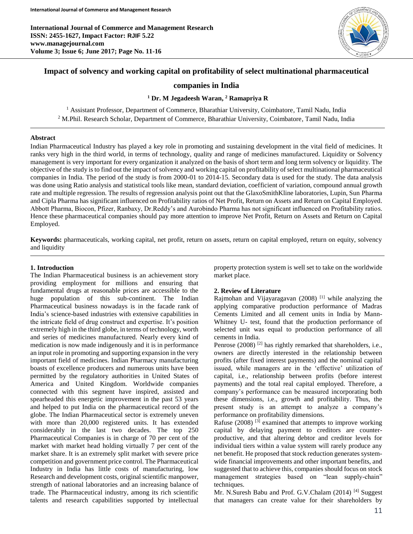

# **Impact of solvency and working capital on profitability of select multinational pharmaceutical**

# **companies in India**

# **<sup>1</sup> Dr. M Jegadeesh Waran, <sup>2</sup> Ramapriya R**

<sup>1</sup> Assistant Professor, Department of Commerce, Bharathiar University, Coimbatore, Tamil Nadu, India <sup>2</sup> M.Phil. Research Scholar, Department of Commerce, Bharathiar University, Coimbatore, Tamil Nadu, India

# **Abstract**

Indian Pharmaceutical Industry has played a key role in promoting and sustaining development in the vital field of medicines. It ranks very high in the third world, in terms of technology, quality and range of medicines manufactured. Liquidity or Solvency management is very important for every organization it analyzed on the basis of short term and long term solvency or liquidity. The objective of the study is to find out the impact of solvency and working capital on profitability of select multinational pharmaceutical companies in India. The period of the study is from 2000-01 to 2014-15. Secondary data is used for the study. The data analysis was done using Ratio analysis and statistical tools like mean, standard deviation, coefficient of variation, compound annual growth rate and multiple regression. The results of regression analysis point out that the GlaxoSmithKline laboratories, Lupin, Sun Pharma and Cipla Pharma has significant influenced on Profitability ratios of Net Profit, Return on Assets and Return on Capital Employed. Abbott Pharma, Biocon, Pfizer, Ranbaxy, Dr.Reddy's and Aurobindo Pharma has not significant influenced on Profitability ratios. Hence these pharmaceutical companies should pay more attention to improve Net Profit, Return on Assets and Return on Capital Employed.

**Keywords:** pharmaceuticals, working capital, net profit, return on assets, return on capital employed, return on equity, solvency and liquidity

# **1. Introduction**

The Indian Pharmaceutical business is an achievement story providing employment for millions and ensuring that fundamental drugs at reasonable prices are accessible to the huge population of this sub-continent. The Indian Pharmaceutical business nowadays is in the facade rank of India's science-based industries with extensive capabilities in the intricate field of drug construct and expertise. It's position extremely high in the third globe, in terms of technology, worth and series of medicines manufactured. Nearly every kind of medication is now made indigenously and it is in performance an input role in promoting and supporting expansion in the very important field of medicines. Indian Pharmacy manufacturing boasts of excellence producers and numerous units have been permitted by the regulatory authorities in United States of America and United Kingdom. Worldwide companies connected with this segment have inspired, assisted and spearheaded this energetic improvement in the past 53 years and helped to put India on the pharmaceutical record of the globe. The Indian Pharmaceutical sector is extremely uneven with more than 20,000 registered units. It has extended considerably in the last two decades. The top 250 Pharmaceutical Companies is in charge of 70 per cent of the market with market head holding virtually 7 per cent of the market share. It is an extremely split market with severe price competition and government price control. The Pharmaceutical Industry in India has little costs of manufacturing, low Research and development costs, original scientific manpower, strength of national laboratories and an increasing balance of trade. The Pharmaceutical industry, among its rich scientific talents and research capabilities supported by intellectual

property protection system is well set to take on the worldwide market place.

# **2. Review of Literature**

Rajmohan and Vijayaragavan (2008) [1] while analyzing the applying comparative production performance of Madras Cements Limited and all cement units in India by Mann-Whitney U- test, found that the production performance of selected unit was equal to production performance of all cements in India.

Penrose (2008)<sup>[2]</sup> has rightly remarked that shareholders, i.e., owners are directly interested in the relationship between profits (after fixed interest payments) and the nominal capital issued, while managers are in the 'effective' utilization of capital, i.e., relationship between profits (before interest payments) and the total real capital employed. Therefore, a company's performance can be measured incorporating both these dimensions, i.e., growth and profitability. Thus, the present study is an attempt to analyze a company's performance on profitability dimensions.

Rafuse (2008)<sup>[3]</sup> examined that attempts to improve working capital by delaying payment to creditors are counterproductive, and that altering debtor and creditor levels for individual tiers within a value system will rarely produce any net benefit. He proposed that stock reduction generates systemwide financial improvements and other important benefits, and suggested that to achieve this, companies should focus on stock management strategies based on "lean supply-chain" techniques.

Mr. N.Suresh Babu and Prof. G.V.Chalam (2014)<sup>[4]</sup> Suggest that managers can create value for their shareholders by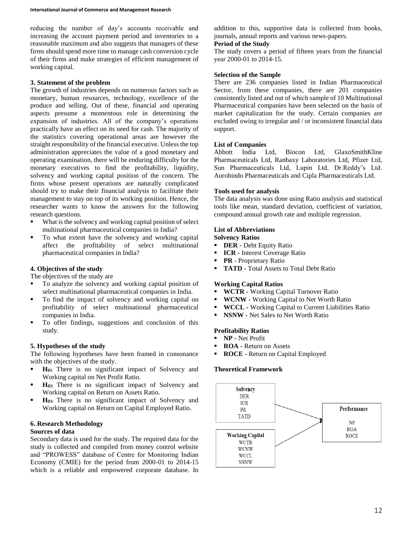reducing the number of day's accounts receivable and increasing the account payment period and inventories to a reasonable maximum and also suggests that managers of these firms should spend more time to manage cash conversion cycle of their firms and make strategies of efficient management of working capital.

### **3. Statement of the problem**

The growth of industries depends on numerous factors such as monetary, human resources, technology, excellence of the produce and selling. Out of these, financial and operating aspects presume a momentous role in determining the expansion of industries. All of the company's operations practically have an effect on its need for cash. The majority of the statistics covering operational areas are however the straight responsibility of the financial executive. Unless the top administration appreciates the value of a good monetary and operating examination, there will be enduring difficulty for the monetary executives to find the profitability, liquidity, solvency and working capital position of the concern. The firms whose present operations are naturally complicated should try to make their financial analysis to facilitate their management to stay on top of its working position. Hence, the researcher wants to know the answers for the following research questions.

- What is the solvency and working capital position of select multinational pharmaceutical companies in India?
- To what extent have the solvency and working capital affect the profitability of select multinational pharmaceutical companies in India?

### **4. Objectives of the study**

The objectives of the study are

- To analyze the solvency and working capital position of select multinational pharmaceutical companies in India.
- To find the impact of solvency and working capital on profitability of select multinational pharmaceutical companies in India.
- To offer findings, suggestions and conclusion of this study.

#### **5. Hypotheses of the study**

The following hypotheses have been framed in consonance with the objectives of the study.

- **H<sup>01</sup>**: There is no significant impact of Solvency and Working capital on Net Profit Ratio.
- **H**<sub>02</sub>: There is no significant impact of Solvency and Working capital on Return on Assets Ratio.
- **H**<sub>03</sub>: There is no significant impact of Solvency and Working capital on Return on Capital Employed Ratio.

# **6. Research Methodology**

# **Sources of data**

Secondary data is used for the study. The required data for the study is collected and compiled from money control website and "PROWESS" database of Centre for Monitoring Indian Economy (CMIE) for the period from 2000-01 to 2014-15 which is a reliable and empowered corporate database. In

addition to this, supportive data is collected from books, journals, annual reports and various news-papers.

#### **Period of the Study**

The study covers a period of fifteen years from the financial year 2000-01 to 2014-15.

### **Selection of the Sample**

There are 236 companies listed in Indian Pharmaceutical Sector, from these companies, there are 201 companies consistently listed and out of which sample of 10 Multinational Pharmaceutical companies have been selected on the basis of market capitalization for the study. Certain companies are excluded owing to irregular and / or inconsistent financial data support.

#### **List of Companies**

Abbott India Ltd, Biocon Ltd, GlaxoSmithKline Pharmaceuticals Ltd, Ranbaxy Laboratories Ltd, Pfizer Ltd, Sun Pharmaceuticals Ltd, Lupin Ltd, Dr.Reddy's Ltd. Aurobindo Pharmaceuticals and Cipla Pharmaceuticals Ltd.

### **Tools used for analysis**

The data analysis was done using Ratio analysis and statistical tools like mean, standard deviation, coefficient of variation, compound annual growth rate and multiple regression.

# **List of Abbreviations**

# **Solvency Ratios**

- **DER** Debt Equity Ratio
- **ICR** Interest Coverage Ratio
- **PR -** Proprietary Ratio
- **TATD -** Total Assets to Total Debt Ratio

# **Working Capital Ratios**

- **WCTR -** Working Capital Turnover Ratio
- **WCNW -** Working Capital to Net Worth Ratio
- **WCCL -** Working Capital to Current Liabilities Ratio
- **NSNW** Net Sales to Net Worth Ratio

### **Profitability Ratios**

- **NP -** Net Profit
- **ROA -** Return on Assets
- **ROCE** Return on Capital Employed

# **Theoretical Framework**

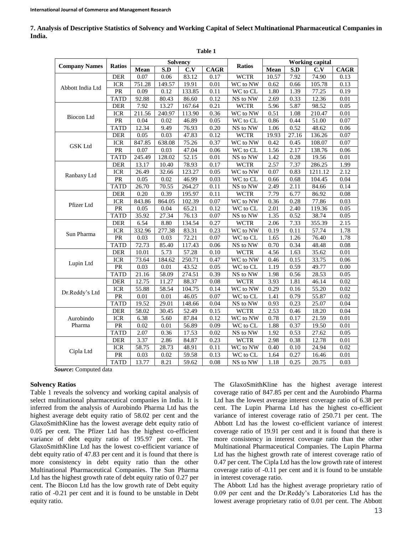# **7. Analysis of Descriptive Statistics of Solvency and Working Capital of Select Multinational Pharmaceutical Companies in India.**

**Table 1**

|                      |                 | <b>Solvency</b> |                   |                                    |                   |                         | <b>Working capital</b>            |                    |         |                   |
|----------------------|-----------------|-----------------|-------------------|------------------------------------|-------------------|-------------------------|-----------------------------------|--------------------|---------|-------------------|
| <b>Company Names</b> | <b>Ratios</b>   |                 | S.D               | $\overline{\mathbf{C}.\mathbf{V}}$ | <b>CAGR</b>       | <b>Ratios</b>           | S.D<br>Mean<br>C.V<br><b>CAGR</b> |                    |         |                   |
|                      | <b>DER</b>      | Mean<br>0.07    | 0.06              | 83.12                              | 0.17              | <b>WCTR</b>             | 10.57                             | 7.92               | 74.90   | 0.13              |
|                      | <b>ICR</b>      | 751.28          | 149.57            | 19.91                              | 0.01              | WC to NW                | 0.62                              | 0.66               | 105.78  | 0.13              |
| Abbott India Ltd     | PR              | 0.09            | 0.12              | 133.85                             | 0.11              | WC to CL                | 1.80                              | 1.39               | 77.25   | 0.19              |
|                      | <b>TATD</b>     | 92.88           | 80.43             | 86.60                              | 0.12              | NS to NW                | 2.69                              | 0.33               | 12.36   | 0.01              |
|                      | <b>DER</b>      | 7.92            | 13.27             | 167.64                             | 0.21              | <b>WCTR</b>             | 5.96                              | 5.87               | 98.52   | 0.05              |
|                      | <b>ICR</b>      | 211.56          | 240.97            | 113.90                             | 0.36              | WC to NW                | 0.51                              | 1.08               | 210.47  | 0.01              |
| Biocon Ltd           | PR              | 0.04            | 0.02              | 46.89                              | 0.05              | WC to CL                | 0.86                              | 0.44               | 51.00   | 0.07              |
|                      | <b>TATD</b>     | 12.34           | 9.49              |                                    |                   |                         |                                   | 0.52               |         |                   |
|                      |                 |                 |                   | 76.93                              | 0.20              | NS to NW                | 1.06                              |                    | 48.62   | 0.06              |
|                      | <b>DER</b>      | 0.05            | 0.03              | 47.83                              | 0.12              | <b>WCTR</b>             | 19.93                             | $\overline{27.16}$ | 136.26  | 0.07              |
| <b>GSK Ltd</b>       | <b>ICR</b>      | 847.85          | 638.08            | 75.26                              | 0.37              | WC to NW                | 0.42                              | 0.45               | 108.07  | 0.07              |
|                      | PR              | 0.07            | 0.03              | 47.04                              | 0.06              | WC to CL                | 1.56                              | 2.17               | 138.76  | 0.06              |
|                      | <b>TATD</b>     | 245.49          | 128.02            | 52.15                              | $\overline{0.01}$ | NS to NW                | 1.42                              | 0.28               | 19.56   | 0.01              |
|                      | <b>DER</b>      | 13.17           | 10.40             | 78.93                              | 0.17              | <b>WCTR</b>             | 2.57                              | 7.37               | 286.25  | 1.99              |
| Ranbaxy Ltd          | <b>ICR</b>      | 26.49           | 32.66             | 123.27                             | 0.05              | WC to NW                | 0.07                              | 0.83               | 1211.12 | 2.12              |
|                      | PR              | 0.05            | 0.02              | 46.99                              | 0.03              | WC to CL                | 0.66                              | 0.68               | 104.45  | 0.04              |
|                      | <b>TATD</b>     | 26.70           | 70.55             | 264.27                             | 0.11              | NS to NW                | 2.49                              | 2.11               | 84.66   | $0.\overline{14}$ |
|                      | <b>DER</b>      | 0.20            | 0.39              | 195.97                             | 0.11              | <b>WCTR</b>             | 7.79                              | 6.77               | 86.92   | 0.08              |
| Pfizer Ltd           | <b>ICR</b>      | 843.86          | 864.05            | 102.39                             | 0.07              | WC to NW                | 0.36                              | 0.28               | 77.86   | 0.03              |
|                      | PR              | 0.05            | 0.04              | 65.21                              | 0.12              | WC to CL                | 2.01                              | 2.40               | 119.36  | 0.05              |
|                      | <b>TATD</b>     | 35.92           | 27.34             | 76.13                              | 0.07              | NS to NW                | 1.35                              | 0.52               | 38.74   | 0.05              |
|                      | <b>DER</b>      | 6.54            | 8.80              | 134.54                             | 0.27              | <b>WCTR</b>             | 2.06                              | 7.33               | 355.39  | 2.15              |
|                      | <b>ICR</b>      | 332.96          | 277.38            | 83.31                              | 0.23              | WC to NW                | 0.19                              | 0.11               | 57.74   | 1.78              |
| Sun Pharma           | PR              | 0.03            | 0.03              | 72.21                              | 0.07              | WC to CL                | 1.65                              | 1.26               | 76.40   | 1.78              |
|                      | <b>TATD</b>     | 72.73           | 85.40             | 117.43                             | 0.06              | NS to NW                | 0.70                              | 0.34               | 48.48   | 0.08              |
|                      | <b>DER</b>      | 10.01           | $\overline{5.73}$ | 57.28                              | 0.10              | <b>WCTR</b>             | 4.56                              | 1.63               | 35.62   | $\overline{0.01}$ |
|                      | <b>ICR</b>      | 73.64           | 184.62            | 250.71                             | 0.47              | WC to NW                | 0.46                              | 0.15               | 33.75   | 0.06              |
| Lupin Ltd            | $\overline{PR}$ | 0.03            | $\overline{0.01}$ | 43.52                              | 0.05              | $\overline{W}C$ to $CL$ | 1.19                              | 0.59               | 49.77   | 0.00              |
|                      | <b>TATD</b>     | 21.16           | 58.09             | 274.51                             | 0.39              | NS to NW                | 1.98                              | 0.56               | 28.53   | 0.05              |
|                      | <b>DER</b>      | 12.75           | 11.27             | 88.37                              | 0.08              | <b>WCTR</b>             | 3.93                              | 1.81               | 46.14   | 0.02              |
|                      | <b>ICR</b>      | 55.88           | 58.54             | 104.75                             | 0.14              | WC to NW                | 0.29                              | 0.16               | 55.20   | 0.02              |
| Dr.Reddy's Ltd       | $\overline{PR}$ | 0.01            | 0.01              | 46.05                              | 0.07              | $\overline{W}C$ to $CL$ | 1.41                              | 0.79               | 55.87   | 0.02              |
|                      | <b>TATD</b>     | 19.52           | 29.01             | 148.66                             | 0.04              | NS to NW                | 0.93                              | 0.23               | 25.07   | 0.04              |
|                      | <b>DER</b>      | 58.02           | 30.45             | 52.49                              | 0.15              | <b>WCTR</b>             | 2.53                              | 0.46               | 18.20   | 0.04              |
| Aurobindo<br>Pharma  | <b>ICR</b>      | 6.38            | 5.60              | 87.84                              | 0.12              | WC to NW                | 0.78                              | 0.17               | 21.59   | 0.01              |
|                      | PR              | 0.02            | 0.01              | 56.89                              | 0.09              | WC to CL                | 1.88                              | 0.37               | 19.50   | 0.01              |
|                      | <b>TATD</b>     | 2.07            | 0.36              | 17.53                              | 0.02              | NS to NW                | 1.92                              | 0.53               | 27.62   | 0.05              |
|                      | <b>DER</b>      | 3.37            | $2.\overline{86}$ | 84.87                              | 0.23              | <b>WCTR</b>             | 2.98                              | 0.38               | 12.78   | 0.01              |
|                      | <b>ICR</b>      | 58.75           | 28.73             | 48.91                              | 0.11              | WC to NW                | 0.40                              | 0.10               | 24.94   | 0.02              |
| Cipla Ltd            | $\overline{PR}$ | 0.03            | 0.02              | 59.58                              | 0.13              | WC to CL                | 1.64                              | 0.27               | 16.46   | 0.01              |
|                      | <b>TATD</b>     | 13.77           | 8.21              | 59.62                              | 0.08              | NS to NW                | 1.18                              | 0.25               | 20.75   | 0.03              |

*Source***:** Computed data

### **Solvency Ratios**

Table 1 reveals the solvency and working capital analysis of select multinational pharmaceutical companies in India. It is inferred from the analysis of Aurobindo Pharma Ltd has the highest average debt equity ratio of 58.02 per cent and the GlaxoSmithKline has the lowest average debt equity ratio of 0.05 per cent. The Pfizer Ltd has the highest co-efficient variance of debt equity ratio of 195.97 per cent. The GlaxoSmithKline Ltd has the lowest co-efficient variance of debt equity ratio of 47.83 per cent and it is found that there is more consistency in debt equity ratio than the other Multinational Pharmaceutical Companies. The Sun Pharma Ltd has the highest growth rate of debt equity ratio of 0.27 per cent. The Biocon Ltd has the low growth rate of Debt equity ratio of -0.21 per cent and it is found to be unstable in Debt equity ratio.

The GlaxoSmithKline has the highest average interest coverage ratio of 847.85 per cent and the Aurobindo Pharma Ltd has the lowest average interest coverage ratio of 6.38 per cent. The Lupin Pharma Ltd has the highest co-efficient variance of interest coverage ratio of 250.71 per cent. The Abbott Ltd has the lowest co-efficient variance of interest coverage ratio of 19.91 per cent and it is found that there is more consistency in interest coverage ratio than the other Multinational Pharmaceutical Companies. The Lupin Pharma Ltd has the highest growth rate of interest coverage ratio of 0.47 per cent. The Cipla Ltd has the low growth rate of interest coverage ratio of -0.11 per cent and it is found to be unstable in interest coverage ratio.

The Abbott Ltd has the highest average proprietary ratio of 0.09 per cent and the Dr.Reddy's Laboratories Ltd has the lowest average proprietary ratio of 0.01 per cent. The Abbott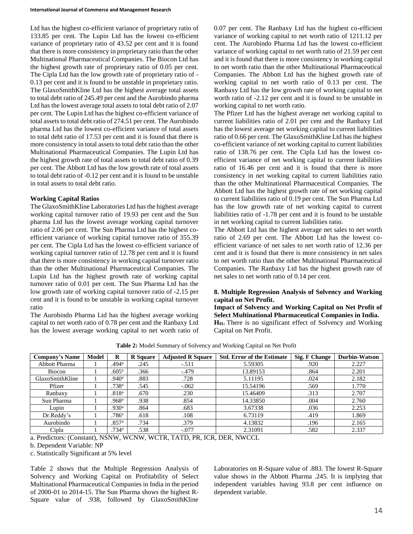Ltd has the highest co-efficient variance of proprietary ratio of 133.85 per cent. The Lupin Ltd has the lowest co-efficient variance of proprietary ratio of 43.52 per cent and it is found that there is more consistency in proprietary ratio than the other Multinational Pharmaceutical Companies. The Biocon Ltd has the highest growth rate of proprietary ratio of 0.05 per cent. The Cipla Ltd has the low growth rate of proprietary ratio of - 0.13 per cent and it is found to be unstable in proprietary ratio. The GlaxoSmithKline Ltd has the highest average total assets to total debt ratio of 245.49 per cent and the Aurobindo pharma Ltd has the lowest average total assets to total debt ratio of 2.07 per cent. The Lupin Ltd has the highest co-efficient variance of total assets to total debt ratio of 274.51 per cent. The Aurobindo pharma Ltd has the lowest co-efficient variance of total assets to total debt ratio of 17.53 per cent and it is found that there is more consistency in total assets to total debt ratio than the other Multinational Pharmaceutical Companies. The Lupin Ltd has the highest growth rate of total assets to total debt ratio of 0.39 per cent. The Abbott Ltd has the low growth rate of total assets to total debt ratio of -0.12 per cent and it is found to be unstable in total assets to total debt ratio.

# **Working Capital Ratios**

The GlaxoSmithKline Laboratories Ltd has the highest average working capital turnover ratio of 19.93 per cent and the Sun pharma Ltd has the lowest average working capital turnover ratio of 2.06 per cent. The Sun Pharma Ltd has the highest coefficient variance of working capital turnover ratio of 355.39 per cent. The Cipla Ltd has the lowest co-efficient variance of working capital turnover ratio of 12.78 per cent and it is found that there is more consistency in working capital turnover ratio than the other Multinational Pharmaceutical Companies. The Lupin Ltd has the highest growth rate of working capital turnover ratio of 0.01 per cent. The Sun Pharma Ltd has the low growth rate of working capital turnover ratio of -2.15 per cent and it is found to be unstable in working capital turnover ratio

The Aurobindo Pharma Ltd has the highest average working capital to net worth ratio of 0.78 per cent and the Ranbaxy Ltd has the lowest average working capital to net worth ratio of 0.07 per cent. The Ranbaxy Ltd has the highest co-efficient variance of working capital to net worth ratio of 1211.12 per cent. The Aurobindo Pharma Ltd has the lowest co-efficient variance of working capital to net worth ratio of 21.59 per cent and it is found that there is more consistency in working capital to net worth ratio than the other Multinational Pharmaceutical Companies. The Abbott Ltd has the highest growth rate of working capital to net worth ratio of 0.13 per cent. The Ranbaxy Ltd has the low growth rate of working capital to net worth ratio of -2.12 per cent and it is found to be unstable in working capital to net worth ratio.

The Pfizer Ltd has the highest average net working capital to current liabilities ratio of 2.01 per cent and the Ranbaxy Ltd has the lowest average net working capital to current liabilities ratio of 0.66 per cent. The GlaxoSmithKline Ltd has the highest co-efficient variance of net working capital to current liabilities ratio of 138.76 per cent. The Cipla Ltd has the lowest coefficient variance of net working capital to current liabilities ratio of 16.46 per cent and it is found that there is more consistency in net working capital to current liabilities ratio than the other Multinational Pharmaceutical Companies. The Abbott Ltd has the highest growth rate of net working capital to current liabilities ratio of 0.19 per cent. The Sun Pharma Ltd has the low growth rate of net working capital to current liabilities ratio of -1.78 per cent and it is found to be unstable in net working capital to current liabilities ratio.

The Abbott Ltd has the highest average net sales to net worth ratio of 2.69 per cent. The Abbott Ltd has the lowest coefficient variance of net sales to net worth ratio of 12.36 per cent and it is found that there is more consistency in net sales to net worth ratio than the other Multinational Pharmaceutical Companies. The Ranbaxy Ltd has the highest growth rate of net sales to net worth ratio of 0.14 per cent.

### **8. Multiple Regression Analysis of Solvency and Working capital on Net Profit.**

**Impact of Solvency and Working Capital on Net Profit of Select Multinational Pharmaceutical Companies in India. H01:** There is no significant effect of Solvency and Working Capital on Net Profit.

**Table 2:** Model Summary of Solvency and Working Capital on Net Profit

| Company's Name  | Model | R                 | <b>R</b> Square | <b>Adjusted R Square</b> | <b>Std. Error of the Estimate</b> | Sig. F Change | <b>Durbin-Watson</b> |
|-----------------|-------|-------------------|-----------------|--------------------------|-----------------------------------|---------------|----------------------|
| Abbott Pharma   |       | .494 <sup>a</sup> | .245            | $-.511$                  | 5.59305                           | .920          | 2.227                |
| Biocon          |       | .605 <sup>a</sup> | .366            | $-.479$                  | 13.89153                          | .864          | 2.201                |
| GlaxoSmithKline |       | .940 <sup>a</sup> | .883            | .728                     | 5.11195                           | .024          | 2.182                |
| Pfizer          |       | .738 <sup>a</sup> | .545            | $-.062$                  | 15.54196                          | .569          | 1.770                |
| Ranbaxy         |       | .818 <sup>a</sup> | .670            | .230                     | 15.46409                          | .313          | 2.707                |
| Sun Pharma      |       | .968 <sup>a</sup> | .938            | .854                     | 14.33850                          | .004          | 2.760                |
| Lupin           |       | .930 <sup>a</sup> | .864            | .683                     | 3.67338                           | .036          | 2.253                |
| Dr.Reddy's      |       | .786 <sup>a</sup> | .618            | .108                     | 6.73119                           | .419          | 1.869                |
| Aurobindo       |       | .857 <sup>a</sup> | .734            | .379                     | 4.13832                           | .196          | 2.165                |
| Cipla           |       | .734 <sup>a</sup> | .538            | $-.077$                  | 2.31091                           | .582          | 2.337                |

a. Predictors: (Constant), NSNW, WCNW, WCTR, TATD, PR, ICR, DER, NWCCL

b. Dependent Variable: NP

c. Statistically Significant at 5% level

Table 2 shows that the Multiple Regression Analysis of Solvency and Working Capital on Profitability of Select Multinational Pharmaceutical Companies in India in the period of 2000-01 to 2014-15. The Sun Pharma shows the highest R-Square value of .938, followed by GlaxoSmithKline

Laboratories on R-Square value of .883. The lowest R-Square value shows in the Abbott Pharma .245. It is implying that independent variables having 93.8 per cent influence on dependent variable.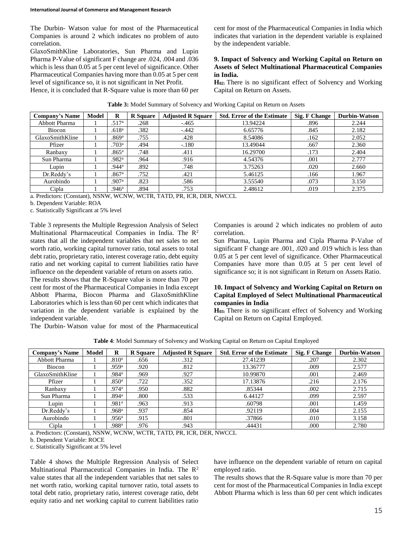The Durbin- Watson value for most of the Pharmaceutical Companies is around 2 which indicates no problem of auto correlation.

GlaxoSmithKline Laboratories, Sun Pharma and Lupin Pharma P-Value of significant F change are .024, .004 and .036 which is less than 0.05 at 5 per cent level of significance. Other Pharmaceutical Companies having more than 0.05 at 5 per cent level of significance so, it is not significant in Net Profit.

Hence, it is concluded that R-Square value is more than 60 per

cent for most of the Pharmaceutical Companies in India which indicates that variation in the dependent variable is explained by the independent variable.

### **9. Impact of Solvency and Working Capital on Return on Assets of Select Multinational Pharmaceutical Companies in India.**

**H02:** There is no significant effect of Solvency and Working Capital on Return on Assets.

| Company's Name  | Model | $\bf{R}$            | <b>R</b> Square | <b>Adjusted R Square</b> | <b>Std. Error of the Estimate</b> | Sig. F Change | <b>Durbin-Watson</b> |
|-----------------|-------|---------------------|-----------------|--------------------------|-----------------------------------|---------------|----------------------|
| Abbott Pharma   |       | .517 <sup>a</sup>   | .268            | $-.465$                  | 13.94224                          | .896          | 2.244                |
| Biocon          |       | .618 <sup>a</sup>   | .382            | $-.442$                  | 6.65776                           | .845          | 2.182                |
| GlaxoSmithKline |       | .869 <sup>a</sup>   | .755            | .428                     | 8.54086                           | .162          | 2.052                |
| Pfizer          |       | .703 <sup>a</sup>   | .494            | $-.180$                  | 13.49044                          | .667          | 2.360                |
| Ranbaxy         |       | $.865$ <sup>a</sup> | .748            | .411                     | 16.29700                          | .173          | 2.404                |
| Sun Pharma      |       | .982 <sup>a</sup>   | .964            | .916                     | 4.54376                           | .001          | 2.777                |
| Lupin           |       | .944 <sup>a</sup>   | .892            | .748                     | 3.75263                           | .020          | 2.660                |
| Dr.Reddy's      |       | .867a               | .752            | .421                     | 5.46125                           | .166          | 1.967                |
| Aurobindo       |       | .907 <sup>a</sup>   | .823            | .586                     | 3.55540                           | .073          | 3.150                |
| Cipla           |       | .946 <sup>a</sup>   | .894            | .753                     | 2.48612                           | .019          | 2.375                |

a. Predictors: (Constant), NSNW, WCNW, WCTR, TATD, PR, ICR, DER, NWCCL

b. Dependent Variable: ROA

c. Statistically Significant at 5% level

Table 3 represents the Multiple Regression Analysis of Select Multinational Pharmaceutical Companies in India. The R<sup>2</sup> states that all the independent variables that net sales to net worth ratio, working capital turnover ratio, total assets to total debt ratio, proprietary ratio, interest coverage ratio, debt equity ratio and net working capital to current liabilities ratio have influence on the dependent variable of return on assets ratio.

The results shows that the R-Square value is more than 70 per cent for most of the Pharmaceutical Companies in India except Abbott Pharma, Biocon Pharma and GlaxoSmithKline Laboratories which is less than 60 per cent which indicates that variation in the dependent variable is explained by the independent variable.

The Durbin- Watson value for most of the Pharmaceutical

Companies is around 2 which indicates no problem of auto correlation.

Sun Pharma, Lupin Pharma and Cipla Pharma P-Value of significant F change are .001, .020 and .019 which is less than 0.05 at 5 per cent level of significance. Other Pharmaceutical Companies have more than 0.05 at 5 per cent level of significance so; it is not significant in Return on Assets Ratio.

### **10. Impact of Solvency and Working Capital on Return on Capital Employed of Select Multinational Pharmaceutical companies in India**

**H03:** There is no significant effect of Solvency and Working Capital on Return on Capital Employed.

|  |  |  | Table 4: Model Summary of Solvency and Working Capital on Return on Capital Employed |
|--|--|--|--------------------------------------------------------------------------------------|
|--|--|--|--------------------------------------------------------------------------------------|

| Company's Name  | Model | $\bf{R}$          | <b>R</b> Square | <b>Adjusted R Square</b> | <b>Std. Error of the Estimate</b> | Sig. F Change | <b>Durbin-Watson</b> |
|-----------------|-------|-------------------|-----------------|--------------------------|-----------------------------------|---------------|----------------------|
| Abbott Pharma   |       | .810 <sup>a</sup> | .656            | .312                     | 27.41239                          | .207          | 2.302                |
| Biocon          |       | .959 <sup>a</sup> | .920            | .812                     | 13.36777                          | .009          | 2.577                |
| GlaxoSmithKline |       | .984 <sup>a</sup> | .969            | .927                     | 10.99870                          | .001          | 2.469                |
| Pfizer          |       | .850 <sup>a</sup> | .722            | .352                     | 17.13876                          | .216          | 2.176                |
| Ranbaxy         |       | .974 <sup>a</sup> | .950            | .882                     | .85344                            | .002          | 2.715                |
| Sun Pharma      |       | .894 <sup>a</sup> | .800            | .533                     | 6.44127                           | .099          | 2.597                |
| Lupin           |       | .981 <sup>a</sup> | .963            | .913                     | .60798                            | .001          | 1.459                |
| Dr.Reddy's      |       | .968 <sup>a</sup> | .937            | .854                     | .92119                            | .004          | 2.155                |
| Aurobindo       |       | .956 <sup>a</sup> | .915            | .801                     | .37866                            | .010          | 3.158                |
| Cipla           |       | .988 <sup>a</sup> | .976            | .943                     | .44431                            | .000          | 2.780                |

a. Predictors: (Constant), NSNW, WCNW, WCTR, TATD, PR, ICR, DER, NWCCL

b. Dependent Variable: ROCE

c. Statistically Significant at 5% level

Table 4 shows the Multiple Regression Analysis of Select Multinational Pharmaceutical Companies in India. The  $\mathbb{R}^2$ value states that all the independent variables that net sales to net worth ratio, working capital turnover ratio, total assets to total debt ratio, proprietary ratio, interest coverage ratio, debt equity ratio and net working capital to current liabilities ratio

have influence on the dependent variable of return on capital employed ratio.

The results shows that the R-Square value is more than 70 per cent for most of the Pharmaceutical Companies in India except Abbott Pharma which is less than 60 per cent which indicates